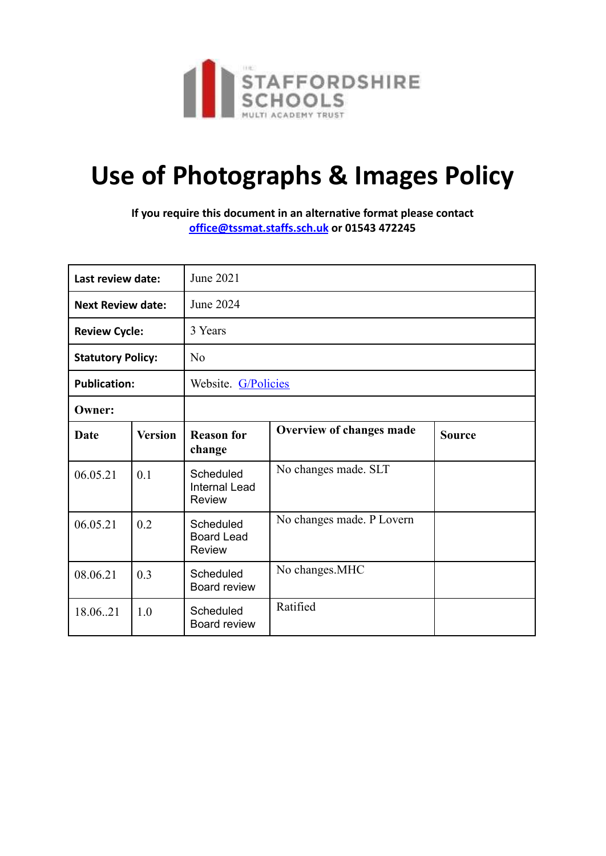

## **Use of Photographs & Images Policy**

**If you require this document in an alternative format please contact [office@tssmat.staffs.sch.uk](mailto:office@tssmat.staffs.sch.uk) or 01543 472245**

| Last review date:        |                | June 2021                                          |                           |               |
|--------------------------|----------------|----------------------------------------------------|---------------------------|---------------|
| <b>Next Review date:</b> |                | June 2024                                          |                           |               |
| <b>Review Cycle:</b>     |                | 3 Years                                            |                           |               |
| <b>Statutory Policy:</b> |                | No                                                 |                           |               |
| <b>Publication:</b>      |                | Website. G/Policies                                |                           |               |
| Owner:                   |                |                                                    |                           |               |
| Date                     | <b>Version</b> | <b>Reason for</b><br>change                        | Overview of changes made  | <b>Source</b> |
| 06.05.21                 | 0.1            | Scheduled<br><b>Internal Lead</b><br><b>Review</b> | No changes made. SLT      |               |
| 06.05.21                 | 0.2            | Scheduled<br><b>Board Lead</b><br><b>Review</b>    | No changes made. P Lovern |               |
| 08.06.21                 | 0.3            | Scheduled<br>Board review                          | No changes.MHC            |               |
| 18.06.21                 | 1.0            | Scheduled<br>Board review                          | Ratified                  |               |